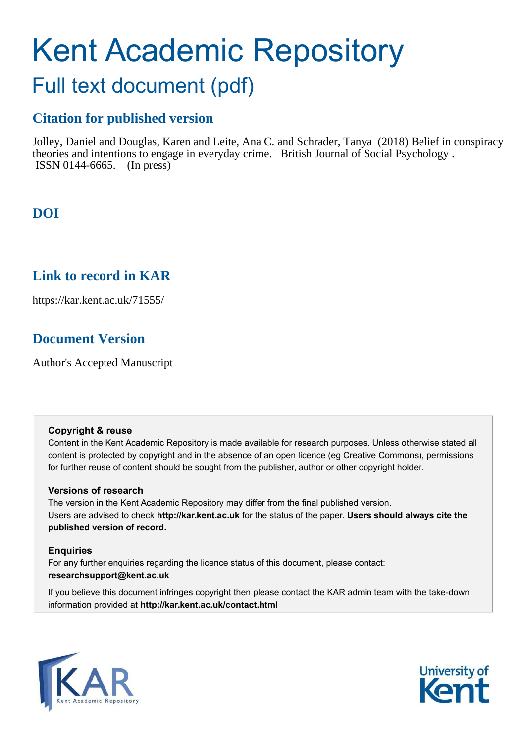# Kent Academic Repository

## Full text document (pdf)

## **Citation for published version**

Jolley, Daniel and Douglas, Karen and Leite, Ana C. and Schrader, Tanya (2018) Belief in conspiracy theories and intentions to engage in everyday crime. British Journal of Social Psychology . ISSN 0144-6665. (In press)

## **DOI**

### **Link to record in KAR**

https://kar.kent.ac.uk/71555/

## **Document Version**

Author's Accepted Manuscript

#### **Copyright & reuse**

Content in the Kent Academic Repository is made available for research purposes. Unless otherwise stated all content is protected by copyright and in the absence of an open licence (eg Creative Commons), permissions for further reuse of content should be sought from the publisher, author or other copyright holder.

#### **Versions of research**

The version in the Kent Academic Repository may differ from the final published version. Users are advised to check **http://kar.kent.ac.uk** for the status of the paper. **Users should always cite the published version of record.**

#### **Enquiries**

For any further enquiries regarding the licence status of this document, please contact: **researchsupport@kent.ac.uk**

If you believe this document infringes copyright then please contact the KAR admin team with the take-down information provided at **http://kar.kent.ac.uk/contact.html**



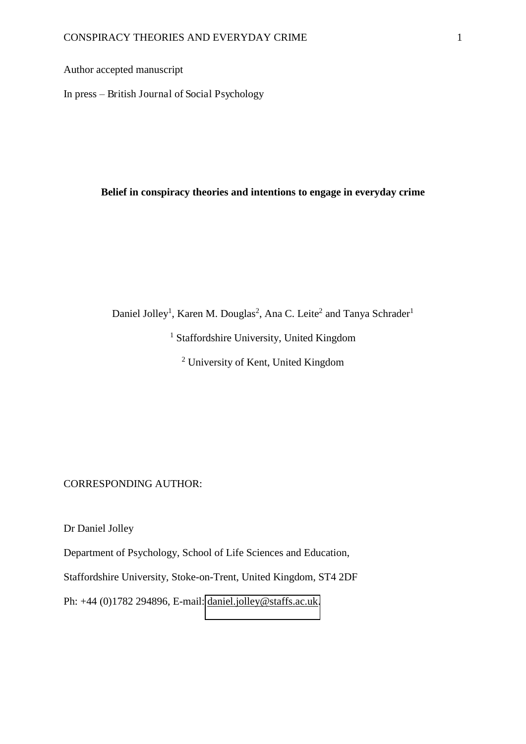Author accepted manuscript

In press – British Journal of Social Psychology

**Belief in conspiracy theories and intentions to engage in everyday crime** 

Daniel Jolley<sup>1</sup>, Karen M. Douglas<sup>2</sup>, Ana C. Leite<sup>2</sup> and Tanya Schrader<sup>1</sup>

<sup>1</sup> Staffordshire University, United Kingdom

<sup>2</sup> University of Kent, United Kingdom

CORRESPONDING AUTHOR:

Dr Daniel Jolley

Department of Psychology, School of Life Sciences and Education,

Staffordshire University, Stoke-on-Trent, United Kingdom, ST4 2DF

Ph: +44 (0)1782 294896, E-mail: [daniel.jolley@staffs.ac.uk.](mailto:daniel.jolley@staffs.ac.uk)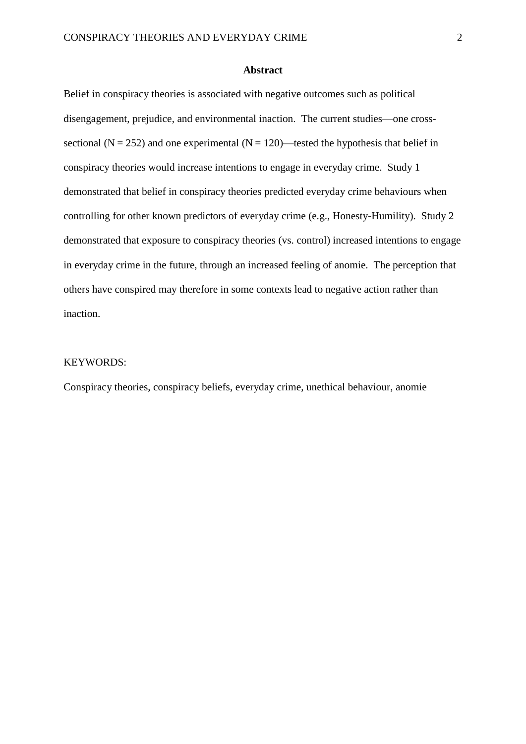#### **Abstract**

Belief in conspiracy theories is associated with negative outcomes such as political disengagement, prejudice, and environmental inaction. The current studies—one crosssectional ( $N = 252$ ) and one experimental ( $N = 120$ )—tested the hypothesis that belief in conspiracy theories would increase intentions to engage in everyday crime. Study 1 demonstrated that belief in conspiracy theories predicted everyday crime behaviours when controlling for other known predictors of everyday crime (e.g., Honesty-Humility). Study 2 demonstrated that exposure to conspiracy theories (vs. control) increased intentions to engage in everyday crime in the future, through an increased feeling of anomie. The perception that others have conspired may therefore in some contexts lead to negative action rather than inaction.

#### KEYWORDS:

Conspiracy theories, conspiracy beliefs, everyday crime, unethical behaviour, anomie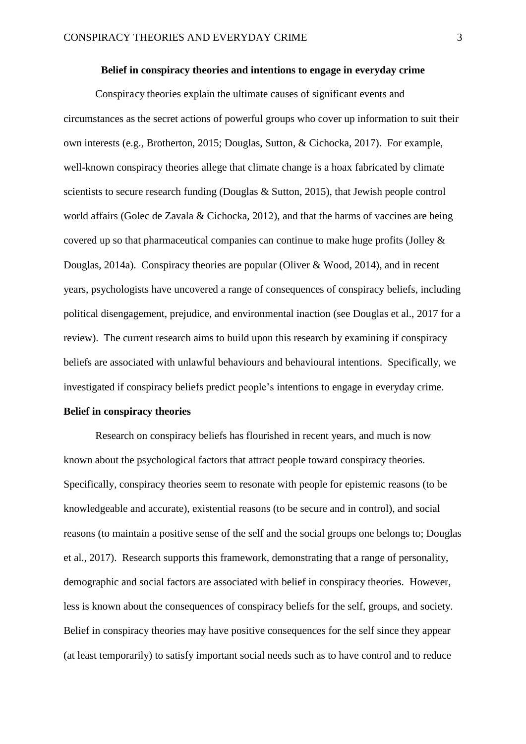#### **Belief in conspiracy theories and intentions to engage in everyday crime**

Conspiracy theories explain the ultimate causes of significant events and circumstances as the secret actions of powerful groups who cover up information to suit their own interests (e.g., Brotherton, 2015; Douglas, Sutton, & Cichocka, 2017). For example, well-known conspiracy theories allege that climate change is a hoax fabricated by climate scientists to secure research funding (Douglas & Sutton, 2015), that Jewish people control world affairs (Golec de Zavala & Cichocka, 2012), and that the harms of vaccines are being covered up so that pharmaceutical companies can continue to make huge profits (Jolley & Douglas, 2014a). Conspiracy theories are popular (Oliver & Wood, 2014), and in recent years, psychologists have uncovered a range of consequences of conspiracy beliefs, including political disengagement, prejudice, and environmental inaction (see Douglas et al., 2017 for a review). The current research aims to build upon this research by examining if conspiracy beliefs are associated with unlawful behaviours and behavioural intentions. Specifically, we investigated if conspiracy beliefs predict people's intentions to engage in everyday crime.

#### **Belief in conspiracy theories**

 Research on conspiracy beliefs has flourished in recent years, and much is now known about the psychological factors that attract people toward conspiracy theories. Specifically, conspiracy theories seem to resonate with people for epistemic reasons (to be knowledgeable and accurate), existential reasons (to be secure and in control), and social reasons (to maintain a positive sense of the self and the social groups one belongs to; Douglas et al., 2017). Research supports this framework, demonstrating that a range of personality, demographic and social factors are associated with belief in conspiracy theories. However, less is known about the consequences of conspiracy beliefs for the self, groups, and society. Belief in conspiracy theories may have positive consequences for the self since they appear (at least temporarily) to satisfy important social needs such as to have control and to reduce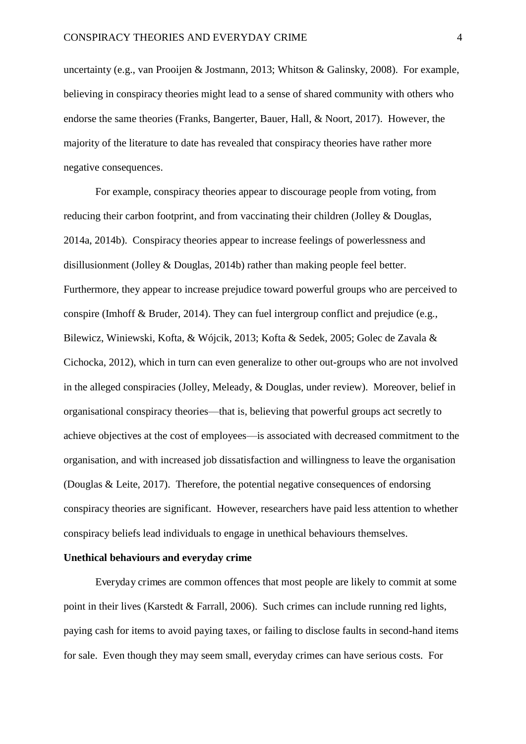uncertainty (e.g., van Prooijen & Jostmann, 2013; Whitson & Galinsky, 2008). For example, believing in conspiracy theories might lead to a sense of shared community with others who endorse the same theories (Franks, Bangerter, Bauer, Hall, & Noort, 2017). However, the majority of the literature to date has revealed that conspiracy theories have rather more negative consequences.

For example, conspiracy theories appear to discourage people from voting, from reducing their carbon footprint, and from vaccinating their children (Jolley & Douglas, 2014a, 2014b). Conspiracy theories appear to increase feelings of powerlessness and disillusionment (Jolley & Douglas, 2014b) rather than making people feel better. Furthermore, they appear to increase prejudice toward powerful groups who are perceived to conspire (Imhoff & Bruder, 2014). They can fuel intergroup conflict and prejudice (e.g., Bilewicz, Winiewski, Kofta, & Wójcik, 2013; Kofta & Sedek, 2005; Golec de Zavala & Cichocka, 2012), which in turn can even generalize to other out-groups who are not involved in the alleged conspiracies (Jolley, Meleady, & Douglas, under review). Moreover, belief in organisational conspiracy theories—that is, believing that powerful groups act secretly to achieve objectives at the cost of employees—is associated with decreased commitment to the organisation, and with increased job dissatisfaction and willingness to leave the organisation (Douglas & Leite, 2017). Therefore, the potential negative consequences of endorsing conspiracy theories are significant. However, researchers have paid less attention to whether conspiracy beliefs lead individuals to engage in unethical behaviours themselves.

#### **Unethical behaviours and everyday crime**

Everyday crimes are common offences that most people are likely to commit at some point in their lives (Karstedt & Farrall, 2006). Such crimes can include running red lights, paying cash for items to avoid paying taxes, or failing to disclose faults in second-hand items for sale. Even though they may seem small, everyday crimes can have serious costs. For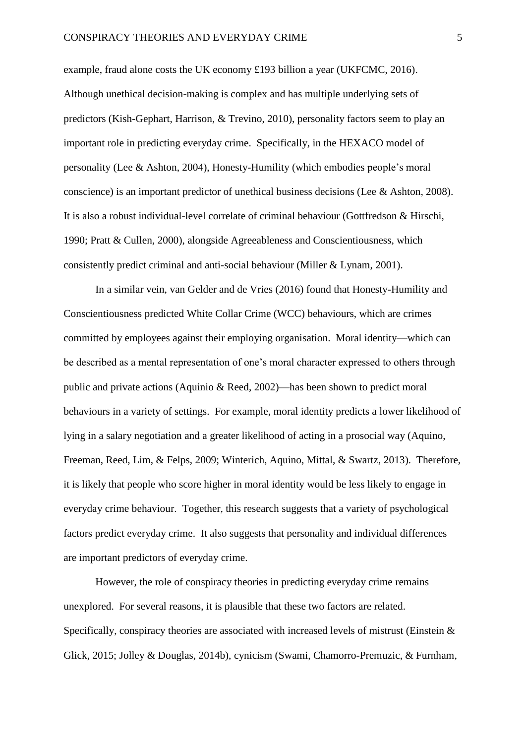example, fraud alone costs the UK economy £193 billion a year (UKFCMC, 2016). Although unethical decision-making is complex and has multiple underlying sets of predictors (Kish-Gephart, Harrison, & Trevino, 2010), personality factors seem to play an important role in predicting everyday crime. Specifically, in the HEXACO model of personality (Lee & Ashton, 2004), Honesty-Humility (which embodies people's moral conscience) is an important predictor of unethical business decisions (Lee & Ashton, 2008). It is also a robust individual-level correlate of criminal behaviour (Gottfredson & Hirschi, 1990; Pratt & Cullen, 2000), alongside Agreeableness and Conscientiousness, which consistently predict criminal and anti-social behaviour (Miller & Lynam, 2001).

In a similar vein, van Gelder and de Vries (2016) found that Honesty-Humility and Conscientiousness predicted White Collar Crime (WCC) behaviours, which are crimes committed by employees against their employing organisation. Moral identity—which can be described as a mental representation of one's moral character expressed to others through public and private actions (Aquinio & Reed, 2002)—has been shown to predict moral behaviours in a variety of settings. For example, moral identity predicts a lower likelihood of lying in a salary negotiation and a greater likelihood of acting in a prosocial way (Aquino, Freeman, Reed, Lim, & Felps, 2009; Winterich, Aquino, Mittal, & Swartz, 2013). Therefore, it is likely that people who score higher in moral identity would be less likely to engage in everyday crime behaviour. Together, this research suggests that a variety of psychological factors predict everyday crime. It also suggests that personality and individual differences are important predictors of everyday crime.

However, the role of conspiracy theories in predicting everyday crime remains unexplored. For several reasons, it is plausible that these two factors are related. Specifically, conspiracy theories are associated with increased levels of mistrust (Einstein & Glick, 2015; Jolley & Douglas, 2014b), cynicism (Swami, Chamorro-Premuzic, & Furnham,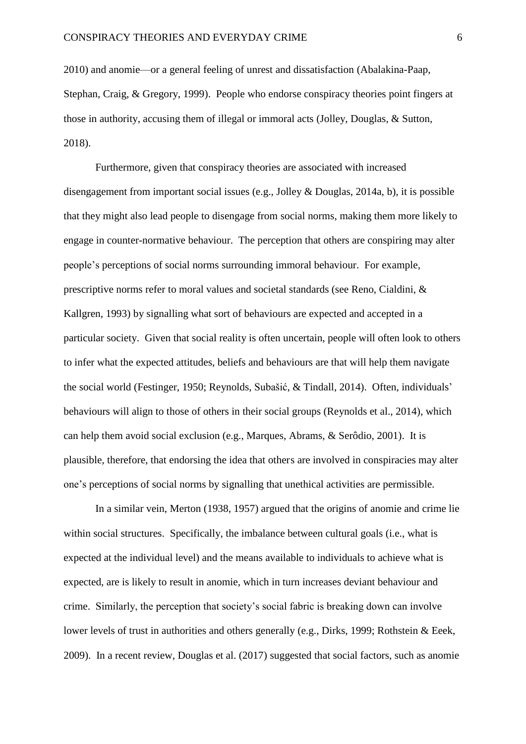2010) and anomie—or a general feeling of unrest and dissatisfaction (Abalakina-Paap, Stephan, Craig, & Gregory, 1999). People who endorse conspiracy theories point fingers at those in authority, accusing them of illegal or immoral acts (Jolley, Douglas, & Sutton, 2018).

Furthermore, given that conspiracy theories are associated with increased disengagement from important social issues (e.g., Jolley & Douglas, 2014a, b), it is possible that they might also lead people to disengage from social norms, making them more likely to engage in counter-normative behaviour. The perception that others are conspiring may alter people's perceptions of social norms surrounding immoral behaviour. For example, prescriptive norms refer to moral values and societal standards (see Reno, Cialdini, & Kallgren, 1993) by signalling what sort of behaviours are expected and accepted in a particular society. Given that social reality is often uncertain, people will often look to others to infer what the expected attitudes, beliefs and behaviours are that will help them navigate the social world (Festinger, 1950; Reynolds, Subašić, & Tindall, 2014). Often, individuals' behaviours will align to those of others in their social groups (Reynolds et al., 2014), which can help them avoid social exclusion (e.g., Marques, Abrams, & Serôdio, 2001). It is plausible, therefore, that endorsing the idea that others are involved in conspiracies may alter one's perceptions of social norms by signalling that unethical activities are permissible.

In a similar vein, Merton (1938, 1957) argued that the origins of anomie and crime lie within social structures. Specifically, the imbalance between cultural goals (i.e., what is expected at the individual level) and the means available to individuals to achieve what is expected, are is likely to result in anomie, which in turn increases deviant behaviour and crime. Similarly, the perception that society's social fabric is breaking down can involve lower levels of trust in authorities and others generally (e.g., Dirks, 1999; Rothstein & Eeek, 2009). In a recent review, Douglas et al. (2017) suggested that social factors, such as anomie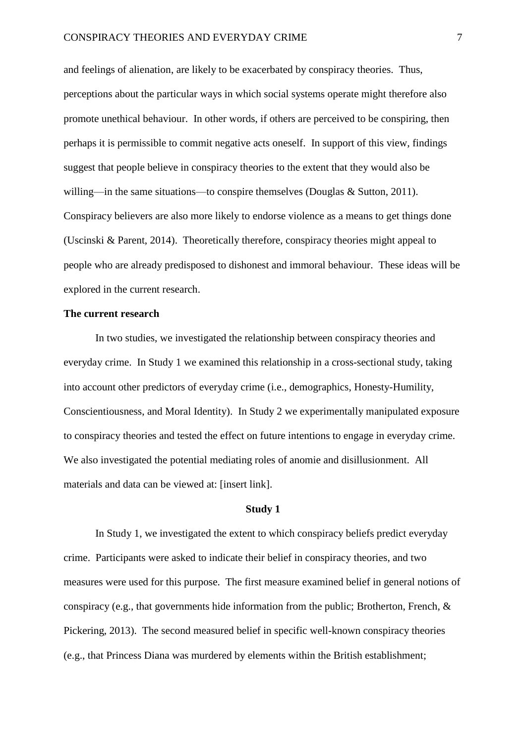and feelings of alienation, are likely to be exacerbated by conspiracy theories. Thus, perceptions about the particular ways in which social systems operate might therefore also promote unethical behaviour. In other words, if others are perceived to be conspiring, then perhaps it is permissible to commit negative acts oneself. In support of this view, findings suggest that people believe in conspiracy theories to the extent that they would also be willing—in the same situations—to conspire themselves (Douglas & Sutton, 2011). Conspiracy believers are also more likely to endorse violence as a means to get things done (Uscinski & Parent, 2014). Theoretically therefore, conspiracy theories might appeal to people who are already predisposed to dishonest and immoral behaviour. These ideas will be explored in the current research.

#### **The current research**

In two studies, we investigated the relationship between conspiracy theories and everyday crime. In Study 1 we examined this relationship in a cross-sectional study, taking into account other predictors of everyday crime (i.e., demographics, Honesty-Humility, Conscientiousness, and Moral Identity). In Study 2 we experimentally manipulated exposure to conspiracy theories and tested the effect on future intentions to engage in everyday crime. We also investigated the potential mediating roles of anomie and disillusionment. All materials and data can be viewed at: [insert link].

#### **Study 1**

In Study 1, we investigated the extent to which conspiracy beliefs predict everyday crime. Participants were asked to indicate their belief in conspiracy theories, and two measures were used for this purpose. The first measure examined belief in general notions of conspiracy (e.g., that governments hide information from the public; Brotherton, French, & Pickering, 2013). The second measured belief in specific well-known conspiracy theories (e.g., that Princess Diana was murdered by elements within the British establishment;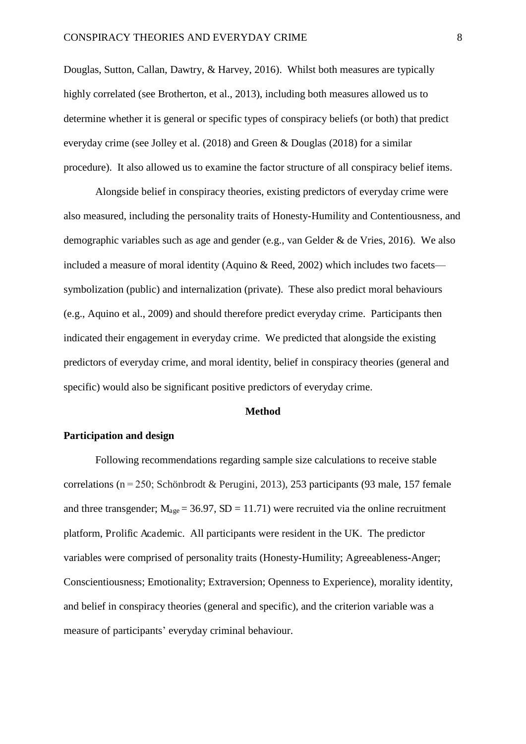Douglas, Sutton, Callan, Dawtry, & Harvey, 2016). Whilst both measures are typically highly correlated (see Brotherton, et al., 2013), including both measures allowed us to determine whether it is general or specific types of conspiracy beliefs (or both) that predict everyday crime (see Jolley et al. (2018) and Green & Douglas (2018) for a similar procedure). It also allowed us to examine the factor structure of all conspiracy belief items.

Alongside belief in conspiracy theories, existing predictors of everyday crime were also measured, including the personality traits of Honesty-Humility and Contentiousness, and demographic variables such as age and gender (e.g., van Gelder & de Vries, 2016). We also included a measure of moral identity (Aquino & Reed, 2002) which includes two facets symbolization (public) and internalization (private). These also predict moral behaviours (e.g., Aquino et al., 2009) and should therefore predict everyday crime. Participants then indicated their engagement in everyday crime. We predicted that alongside the existing predictors of everyday crime, and moral identity, belief in conspiracy theories (general and specific) would also be significant positive predictors of everyday crime.

#### **Method**

#### **Participation and design**

Following recommendations regarding sample size calculations to receive stable correlations (n = 250; Schönbrodt & Perugini, 2013), 253 participants (93 male, 157 female and three transgender;  $M_{\text{age}} = 36.97$ ,  $SD = 11.71$ ) were recruited via the online recruitment platform, Prolific Academic. All participants were resident in the UK. The predictor variables were comprised of personality traits (Honesty-Humility; Agreeableness-Anger; Conscientiousness; Emotionality; Extraversion; Openness to Experience), morality identity, and belief in conspiracy theories (general and specific), and the criterion variable was a measure of participants' everyday criminal behaviour.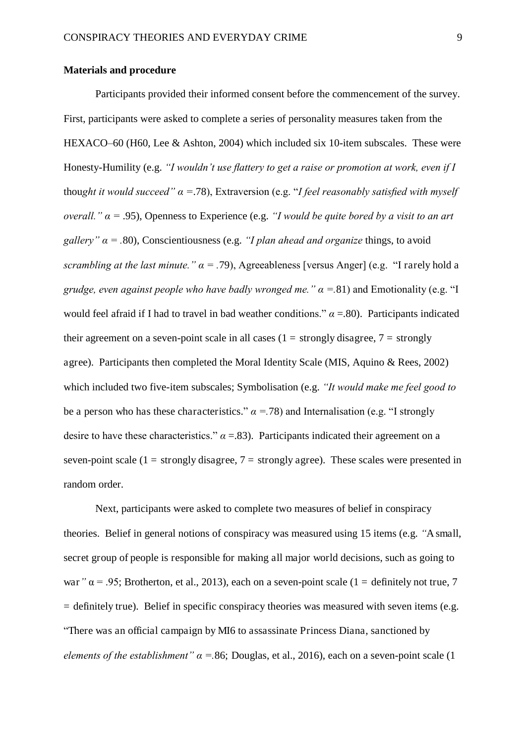#### **Materials and procedure**

Participants provided their informed consent before the commencement of the survey. First, participants were asked to complete a series of personality measures taken from the HEXACO–60 (H60, Lee & Ashton, 2004) which included six 10-item subscales. These were Honesty-Humility (e.g. *"I wouldn't use flattery to get a raise or promotion at work, even if I*  thought it would succeed"  $\alpha$  = .78), Extraversion (e.g. "*I feel reasonably satisfied with myself overall."*  $\alpha$  = .95), Openness to Experience (e.g. *"I would be quite bored by a visit to an art gallery"*  $\alpha$  = .80), Conscientiousness (e.g. *"I plan ahead and organize* things, to avoid *scrambling at the last minute."*  $\alpha$  = .79), Agreeableness [versus Anger] (e.g. "I rarely hold a *grudge, even against people who have badly wronged me.*  $\alpha = 81$ ) and Emotionality (e.g. "I would feel afraid if I had to travel in bad weather conditions."  $\alpha = .80$ ). Participants indicated their agreement on a seven-point scale in all cases ( $1 =$  strongly disagree,  $7 =$  strongly agree). Participants then completed the Moral Identity Scale (MIS, Aquino & Rees, 2002) which included two five-item subscales; Symbolisation (e.g. *"It would make me feel good to*  be a person who has these characteristics."  $\alpha$  =.78) and Internalisation (e.g. "I strongly desire to have these characteristics."  $\alpha = 83$ ). Participants indicated their agreement on a seven-point scale (1 = strongly disagree,  $7 =$  strongly agree). These scales were presented in random order.

Next, participants were asked to complete two measures of belief in conspiracy theories. Belief in general notions of conspiracy was measured using 15 items (e.g. *"*A small, secret group of people is responsible for making all major world decisions, such as going to war<sup>"</sup>  $\alpha$  = .95; Brotherton, et al., 2013), each on a seven-point scale (1 = definitely not true, 7  $=$  definitely true). Belief in specific conspiracy theories was measured with seven items (e.g. "There was an official campaign by MI6 to assassinate Princess Diana, sanctioned by *elements of the establishment"*  $\alpha$  =.86; Douglas, et al., 2016), each on a seven-point scale (1)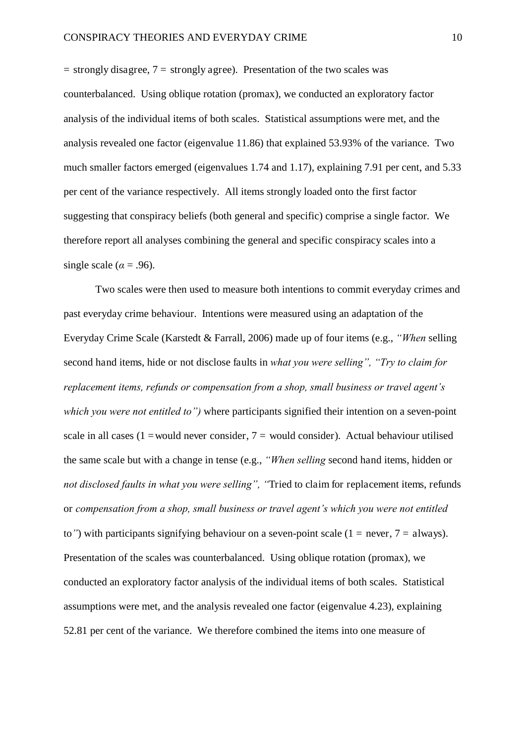$=$  strongly disagree,  $7 =$  strongly agree). Presentation of the two scales was counterbalanced. Using oblique rotation (promax), we conducted an exploratory factor analysis of the individual items of both scales. Statistical assumptions were met, and the analysis revealed one factor (eigenvalue 11.86) that explained 53.93% of the variance. Two much smaller factors emerged (eigenvalues 1.74 and 1.17), explaining 7.91 per cent, and 5.33 per cent of the variance respectively. All items strongly loaded onto the first factor suggesting that conspiracy beliefs (both general and specific) comprise a single factor. We therefore report all analyses combining the general and specific conspiracy scales into a single scale ( $\alpha$  = .96).

Two scales were then used to measure both intentions to commit everyday crimes and past everyday crime behaviour. Intentions were measured using an adaptation of the Everyday Crime Scale (Karstedt & Farrall, 2006) made up of four items (e.g., *"When* selling second hand items, hide or not disclose faults in *what you were selling", "Try to claim for replacement items, refunds or compensation from a shop, small business or travel agent's which you were not entitled to")* where participants signified their intention on a seven-point scale in all cases (1 = would never consider,  $7$  = would consider). Actual behaviour utilised the same scale but with a change in tense (e.g., *"When selling* second hand items, hidden or *not disclosed faults in what you were selling", "*Tried to claim for replacement items, refunds or *compensation from a shop, small business or travel agent's which you were not entitled*  to") with participants signifying behaviour on a seven-point scale  $(1 = never, 7 = always)$ . Presentation of the scales was counterbalanced. Using oblique rotation (promax), we conducted an exploratory factor analysis of the individual items of both scales. Statistical assumptions were met, and the analysis revealed one factor (eigenvalue 4.23), explaining 52.81 per cent of the variance. We therefore combined the items into one measure of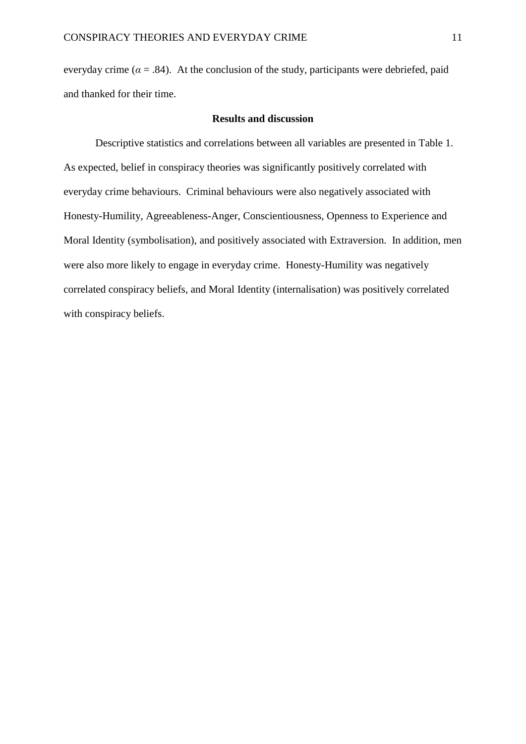everyday crime ( $\alpha$  = .84). At the conclusion of the study, participants were debriefed, paid and thanked for their time.

#### **Results and discussion**

Descriptive statistics and correlations between all variables are presented in Table 1. As expected, belief in conspiracy theories was significantly positively correlated with everyday crime behaviours. Criminal behaviours were also negatively associated with Honesty-Humility, Agreeableness-Anger, Conscientiousness, Openness to Experience and Moral Identity (symbolisation), and positively associated with Extraversion. In addition, men were also more likely to engage in everyday crime. Honesty-Humility was negatively correlated conspiracy beliefs, and Moral Identity (internalisation) was positively correlated with conspiracy beliefs.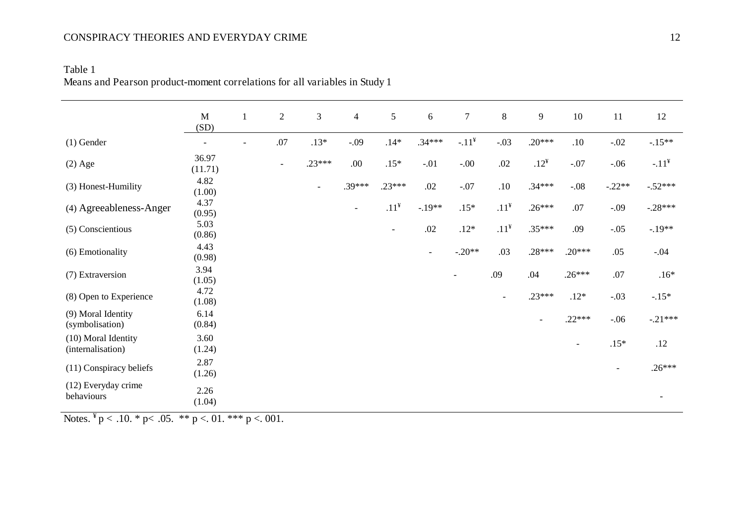#### CONSPIRACY THEORIES AND EVERYDAY CRIME 12

#### Table 1 Means and Pearson product-moment correlations for all variables in Study 1

|                                          | $\mathbf{M}$<br>(SD)     | $\mathbf{1}$ | $\overline{2}$           | $\mathfrak{Z}$           | $\overline{4}$ | 5                        | $6\,$                    | $\tau$                   | $8\,$   | $\overline{9}$           | 10                       | 11       | 12         |
|------------------------------------------|--------------------------|--------------|--------------------------|--------------------------|----------------|--------------------------|--------------------------|--------------------------|---------|--------------------------|--------------------------|----------|------------|
| $(1)$ Gender                             | $\overline{\phantom{a}}$ |              | $.07$                    | $.13*$                   | $-.09$         | $.14*$                   | $.34***$                 | $-.11^{4}$               | $-.03$  | $.20***$                 | .10                      | $-.02$   | $-.15**$   |
| $(2)$ Age                                | 36.97<br>(11.71)         |              | $\overline{\phantom{a}}$ | $.23***$                 | .00            | $.15*$                   | $-.01$                   | $-00.$                   | .02     | $.12^{\tt Y}$            | $-.07$                   | $-.06$   | $-.11^{4}$ |
| (3) Honest-Humility                      | 4.82<br>(1.00)           |              |                          | $\overline{\phantom{0}}$ | .39***         | $.23***$                 | .02                      | $-.07$                   | .10     | $.34***$                 | $-.08$                   | $-.22**$ | $-.52***$  |
| (4) Agreeableness-Anger                  | 4.37<br>(0.95)           |              |                          |                          | $\blacksquare$ | .11 <sup>¥</sup>         | $-.19**$                 | $.15*$                   | $.11^*$ | $.26***$                 | $.07$                    | $-.09$   | $-.28***$  |
| (5) Conscientious                        | 5.03<br>(0.86)           |              |                          |                          |                | $\overline{\phantom{a}}$ | .02                      | $.12*$                   | $.11^*$ | $.35***$                 | .09                      | $-.05$   | $-.19**$   |
| (6) Emotionality                         | 4.43<br>(0.98)           |              |                          |                          |                |                          | $\overline{\phantom{a}}$ | $-.20**$                 | .03     | $.28***$                 | $.20***$                 | .05      | $-.04$     |
| (7) Extraversion                         | 3.94<br>(1.05)           |              |                          |                          |                |                          |                          | $\overline{\phantom{a}}$ | .09     | .04                      | $.26***$                 | .07      | $.16*$     |
| (8) Open to Experience                   | 4.72<br>(1.08)           |              |                          |                          |                |                          |                          |                          |         | $.23***$                 | $.12*$                   | $-.03$   | $-15*$     |
| (9) Moral Identity<br>(symbolisation)    | 6.14<br>(0.84)           |              |                          |                          |                |                          |                          |                          |         | $\overline{\phantom{a}}$ | $.22***$                 | $-.06$   | $-.21***$  |
| (10) Moral Identity<br>(internalisation) | 3.60<br>(1.24)           |              |                          |                          |                |                          |                          |                          |         |                          | $\overline{\phantom{a}}$ | $.15*$   | .12        |
| (11) Conspiracy beliefs                  | 2.87<br>(1.26)           |              |                          |                          |                |                          |                          |                          |         |                          |                          |          | $.26***$   |
| (12) Everyday crime<br>behaviours        | 2.26<br>(1.04)           |              |                          |                          |                |                          |                          |                          |         |                          |                          |          |            |

Notes.  $\frac{4}{3}p < .10.$  \* p< .05. \*\* p <. 01. \*\*\* p <. 001.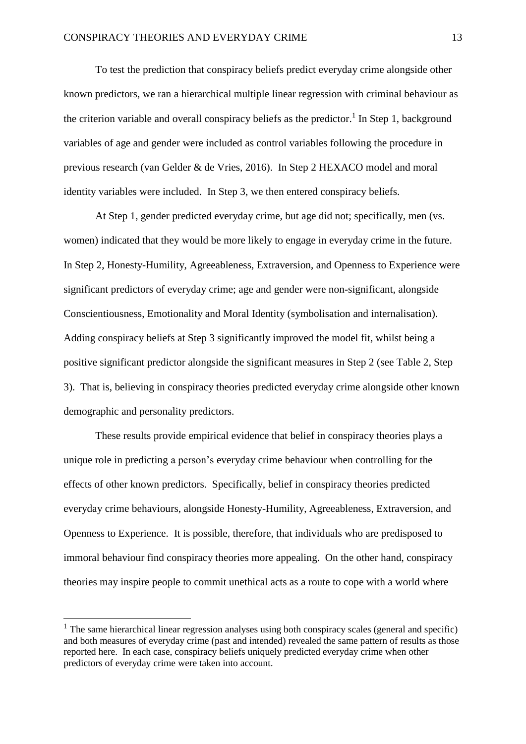To test the prediction that conspiracy beliefs predict everyday crime alongside other known predictors, we ran a hierarchical multiple linear regression with criminal behaviour as the criterion variable and overall conspiracy beliefs as the predictor.<sup>1</sup> In Step 1, background variables of age and gender were included as control variables following the procedure in previous research (van Gelder & de Vries, 2016). In Step 2 HEXACO model and moral identity variables were included. In Step 3, we then entered conspiracy beliefs.

At Step 1, gender predicted everyday crime, but age did not; specifically, men (vs. women) indicated that they would be more likely to engage in everyday crime in the future. In Step 2, Honesty-Humility, Agreeableness, Extraversion, and Openness to Experience were significant predictors of everyday crime; age and gender were non-significant, alongside Conscientiousness, Emotionality and Moral Identity (symbolisation and internalisation). Adding conspiracy beliefs at Step 3 significantly improved the model fit, whilst being a positive significant predictor alongside the significant measures in Step 2 (see Table 2, Step 3). That is, believing in conspiracy theories predicted everyday crime alongside other known demographic and personality predictors.

These results provide empirical evidence that belief in conspiracy theories plays a unique role in predicting a person's everyday crime behaviour when controlling for the effects of other known predictors. Specifically, belief in conspiracy theories predicted everyday crime behaviours, alongside Honesty-Humility, Agreeableness, Extraversion, and Openness to Experience. It is possible, therefore, that individuals who are predisposed to immoral behaviour find conspiracy theories more appealing. On the other hand, conspiracy theories may inspire people to commit unethical acts as a route to cope with a world where

 $\overline{a}$ 

 $<sup>1</sup>$  The same hierarchical linear regression analyses using both conspiracy scales (general and specific)</sup> and both measures of everyday crime (past and intended) revealed the same pattern of results as those reported here. In each case, conspiracy beliefs uniquely predicted everyday crime when other predictors of everyday crime were taken into account.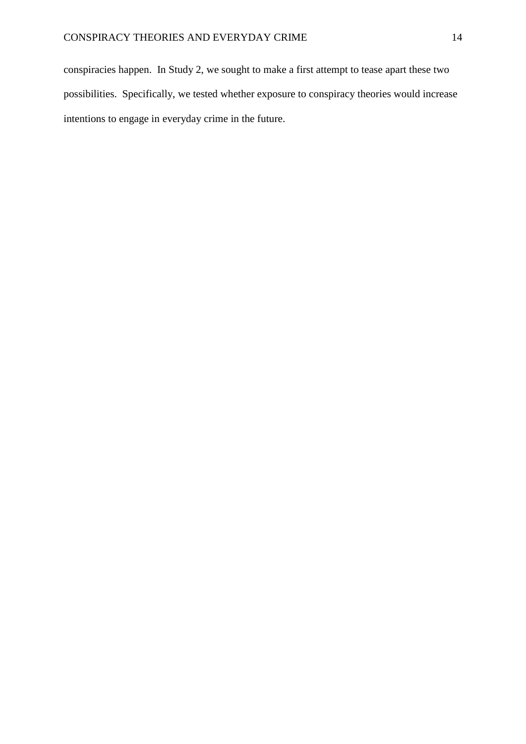conspiracies happen. In Study 2, we sought to make a first attempt to tease apart these two possibilities. Specifically, we tested whether exposure to conspiracy theories would increase intentions to engage in everyday crime in the future.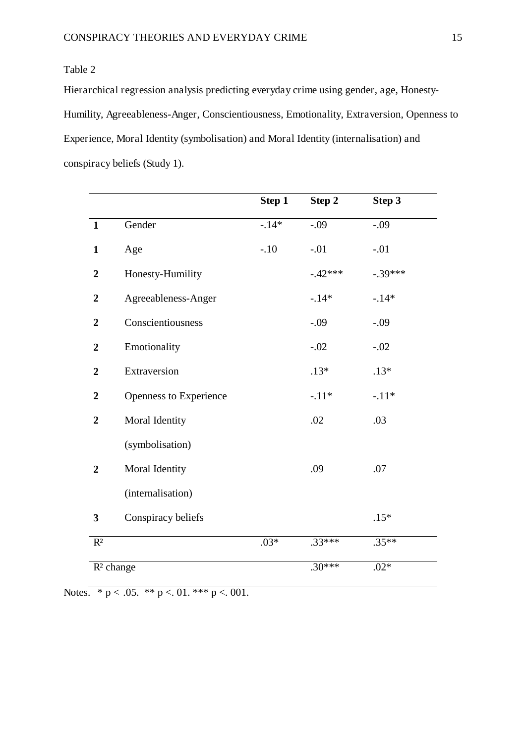#### Table 2

Hierarchical regression analysis predicting everyday crime using gender, age, Honesty-Humility, Agreeableness-Anger, Conscientiousness, Emotionality, Extraversion, Openness to Experience, Moral Identity (symbolisation) and Moral Identity (internalisation) and conspiracy beliefs (Study 1).

|                  |                        | Step 1  | Step 2   | Step 3    |
|------------------|------------------------|---------|----------|-----------|
| $\mathbf{1}$     | Gender                 | $-.14*$ | $-.09$   | $-.09$    |
| $\mathbf{1}$     | Age                    | $-.10$  | $-.01$   | $-.01$    |
| $\boldsymbol{2}$ | Honesty-Humility       |         | $-42***$ | $-.39***$ |
| $\boldsymbol{2}$ | Agreeableness-Anger    |         | $-.14*$  | $-.14*$   |
| $\boldsymbol{2}$ | Conscientiousness      |         | $-.09$   | $-.09$    |
| $\boldsymbol{2}$ | Emotionality           |         | $-.02$   | $-.02$    |
| $\boldsymbol{2}$ | Extraversion           |         | $.13*$   | $.13*$    |
| $\overline{2}$   | Openness to Experience |         | $-.11*$  | $-.11*$   |
| $\overline{2}$   | Moral Identity         |         | .02      | .03       |
|                  | (symbolisation)        |         |          |           |
| $\overline{2}$   | Moral Identity         |         | .09      | .07       |
|                  | (internalisation)      |         |          |           |
| $\mathbf{3}$     | Conspiracy beliefs     |         |          | $.15*$    |
| $R^2$            |                        | $.03*$  | $.33***$ | $.35**$   |
| $R2$ change      |                        |         | $.30***$ | $.02*$    |

Notes.  $* p < .05.$   $* p < .01.$   $* * p < .001.$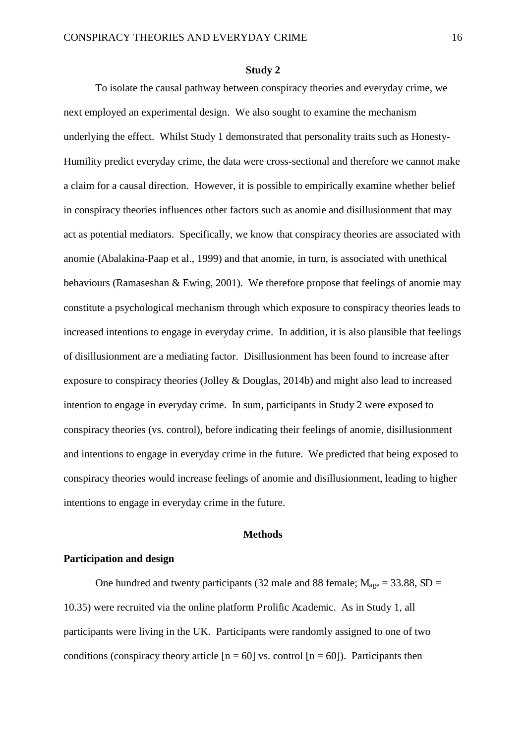#### **Study 2**

To isolate the causal pathway between conspiracy theories and everyday crime, we next employed an experimental design. We also sought to examine the mechanism underlying the effect. Whilst Study 1 demonstrated that personality traits such as Honesty-Humility predict everyday crime, the data were cross-sectional and therefore we cannot make a claim for a causal direction. However, it is possible to empirically examine whether belief in conspiracy theories influences other factors such as anomie and disillusionment that may act as potential mediators. Specifically, we know that conspiracy theories are associated with anomie (Abalakina-Paap et al., 1999) and that anomie, in turn, is associated with unethical behaviours (Ramaseshan & Ewing, 2001). We therefore propose that feelings of anomie may constitute a psychological mechanism through which exposure to conspiracy theories leads to increased intentions to engage in everyday crime. In addition, it is also plausible that feelings of disillusionment are a mediating factor. Disillusionment has been found to increase after exposure to conspiracy theories (Jolley & Douglas, 2014b) and might also lead to increased intention to engage in everyday crime. In sum, participants in Study 2 were exposed to conspiracy theories (vs. control), before indicating their feelings of anomie, disillusionment and intentions to engage in everyday crime in the future. We predicted that being exposed to conspiracy theories would increase feelings of anomie and disillusionment, leading to higher intentions to engage in everyday crime in the future.

#### **Methods**

#### **Participation and design**

One hundred and twenty participants (32 male and 88 female;  $M_{\text{age}} = 33.88$ , SD = 10.35) were recruited via the online platform Prolific Academic. As in Study 1, all participants were living in the UK. Participants were randomly assigned to one of two conditions (conspiracy theory article  $[n = 60]$  vs. control  $[n = 60]$ ). Participants then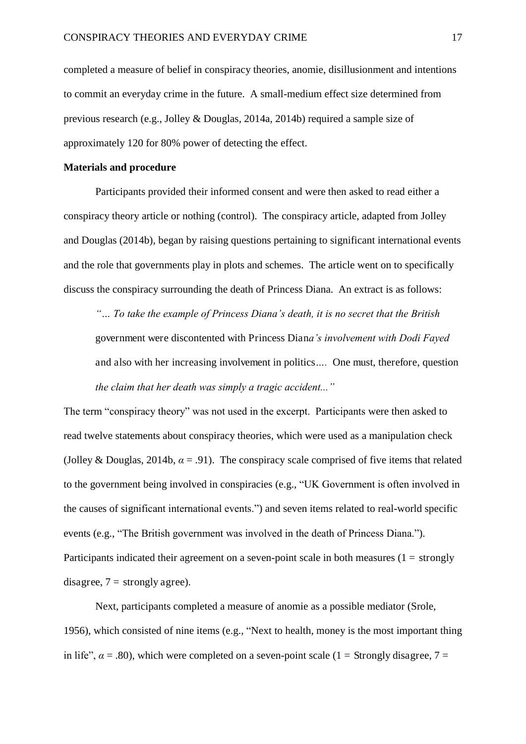completed a measure of belief in conspiracy theories, anomie, disillusionment and intentions to commit an everyday crime in the future. A small-medium effect size determined from previous research (e.g., Jolley & Douglas, 2014a, 2014b) required a sample size of approximately 120 for 80% power of detecting the effect.

#### **Materials and procedure**

Participants provided their informed consent and were then asked to read either a conspiracy theory article or nothing (control). The conspiracy article, adapted from Jolley and Douglas (2014b), began by raising questions pertaining to significant international events and the role that governments play in plots and schemes. The article went on to specifically discuss the conspiracy surrounding the death of Princess Diana. An extract is as follows:

*"… To take the example of Princess Diana's death, it is no secret that the British*  government were discontented with Princess Dian*a's involvement with Dodi Fayed*  and also with her increasing involvement in politics*….* One must, therefore, question *the claim that her death was simply a tragic accident..."* 

The term "conspiracy theory" was not used in the excerpt. Participants were then asked to read twelve statements about conspiracy theories, which were used as a manipulation check (Jolley & Douglas, 2014b,  $\alpha = .91$ ). The conspiracy scale comprised of five items that related to the government being involved in conspiracies (e.g., "UK Government is often involved in the causes of significant international events.") and seven items related to real-world specific events (e.g., "The British government was involved in the death of Princess Diana."). Participants indicated their agreement on a seven-point scale in both measures ( $1 =$  strongly disagree,  $7 =$  strongly agree).

Next, participants completed a measure of anomie as a possible mediator (Srole, 1956), which consisted of nine items (e.g., "Next to health, money is the most important thing in life",  $\alpha$  = .80), which were completed on a seven-point scale (1 = Strongly disagree, 7 =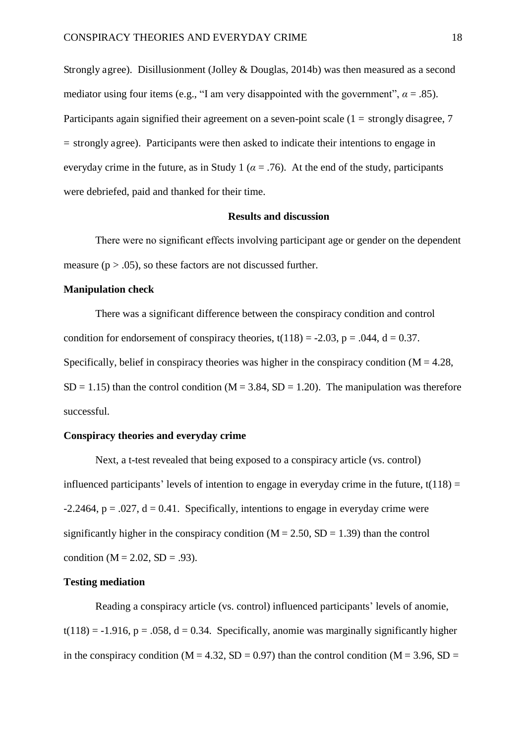Strongly agree). Disillusionment (Jolley & Douglas, 2014b) was then measured as a second mediator using four items (e.g., "I am very disappointed with the government",  $\alpha = .85$ ). Participants again signified their agreement on a seven-point scale  $(1 =$  strongly disagree, 7 = strongly agree). Participants were then asked to indicate their intentions to engage in everyday crime in the future, as in Study 1 ( $\alpha$  = .76). At the end of the study, participants were debriefed, paid and thanked for their time.

#### **Results and discussion**

There were no significant effects involving participant age or gender on the dependent measure  $(p > .05)$ , so these factors are not discussed further.

#### **Manipulation check**

There was a significant difference between the conspiracy condition and control condition for endorsement of conspiracy theories,  $t(118) = -2.03$ ,  $p = .044$ ,  $d = 0.37$ . Specifically, belief in conspiracy theories was higher in the conspiracy condition  $(M = 4.28$ ,  $SD = 1.15$ ) than the control condition (M = 3.84, SD = 1.20). The manipulation was therefore successful.

#### **Conspiracy theories and everyday crime**

Next, a t-test revealed that being exposed to a conspiracy article (vs. control) influenced participants' levels of intention to engage in everyday crime in the future,  $t(118) =$  $-2.2464$ ,  $p = .027$ ,  $d = 0.41$ . Specifically, intentions to engage in everyday crime were significantly higher in the conspiracy condition  $(M = 2.50, SD = 1.39)$  than the control condition ( $M = 2.02$ ,  $SD = .93$ ).

#### **Testing mediation**

Reading a conspiracy article (vs. control) influenced participants' levels of anomie,  $t(118) = -1.916$ ,  $p = .058$ ,  $d = 0.34$ . Specifically, anomie was marginally significantly higher in the conspiracy condition (M = 4.32, SD = 0.97) than the control condition (M = 3.96, SD =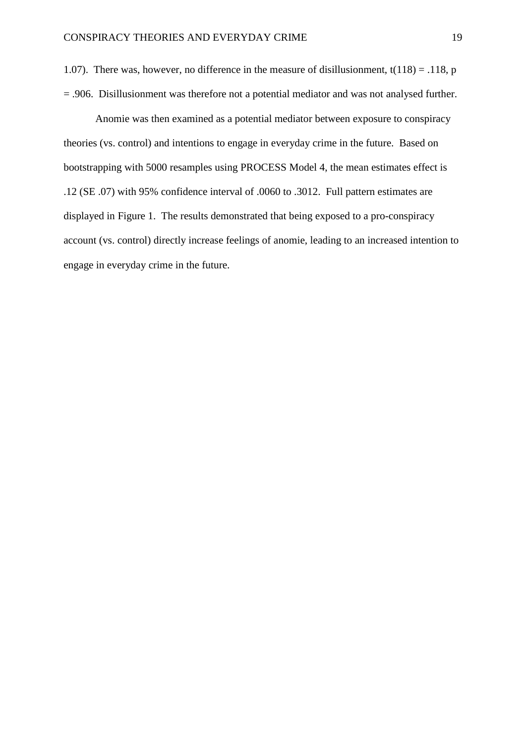1.07). There was, however, no difference in the measure of disillusionment,  $t(118) = .118$ , p = .906. Disillusionment was therefore not a potential mediator and was not analysed further.

Anomie was then examined as a potential mediator between exposure to conspiracy theories (vs. control) and intentions to engage in everyday crime in the future. Based on bootstrapping with 5000 resamples using PROCESS Model 4, the mean estimates effect is .12 (SE .07) with 95% confidence interval of .0060 to .3012. Full pattern estimates are displayed in Figure 1. The results demonstrated that being exposed to a pro-conspiracy account (vs. control) directly increase feelings of anomie, leading to an increased intention to engage in everyday crime in the future.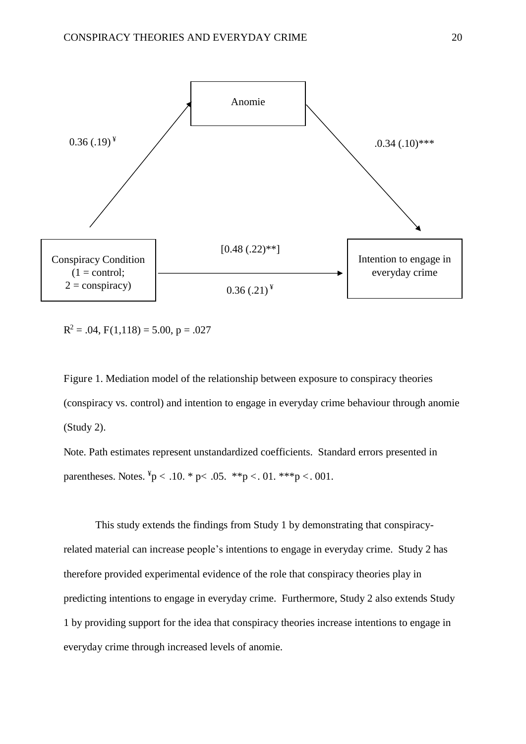

 $R^2 = .04$ ,  $F(1,118) = 5.00$ ,  $p = .027$ 

Figure 1. Mediation model of the relationship between exposure to conspiracy theories (conspiracy vs. control) and intention to engage in everyday crime behaviour through anomie (Study 2).

Note. Path estimates represent unstandardized coefficients. Standard errors presented in parentheses. Notes.  ${}^{4}p$  < .10. \* p < .05. \*\* p < .01. \*\*\* p < .001.

This study extends the findings from Study 1 by demonstrating that conspiracyrelated material can increase people's intentions to engage in everyday crime. Study 2 has therefore provided experimental evidence of the role that conspiracy theories play in predicting intentions to engage in everyday crime. Furthermore, Study 2 also extends Study 1 by providing support for the idea that conspiracy theories increase intentions to engage in everyday crime through increased levels of anomie.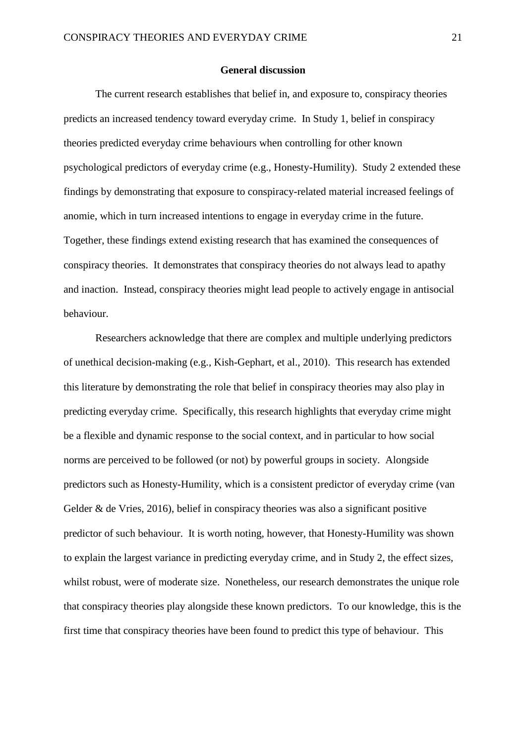#### **General discussion**

The current research establishes that belief in, and exposure to, conspiracy theories predicts an increased tendency toward everyday crime. In Study 1, belief in conspiracy theories predicted everyday crime behaviours when controlling for other known psychological predictors of everyday crime (e.g., Honesty-Humility). Study 2 extended these findings by demonstrating that exposure to conspiracy-related material increased feelings of anomie, which in turn increased intentions to engage in everyday crime in the future. Together, these findings extend existing research that has examined the consequences of conspiracy theories. It demonstrates that conspiracy theories do not always lead to apathy and inaction. Instead, conspiracy theories might lead people to actively engage in antisocial behaviour.

Researchers acknowledge that there are complex and multiple underlying predictors of unethical decision-making (e.g., Kish-Gephart, et al., 2010). This research has extended this literature by demonstrating the role that belief in conspiracy theories may also play in predicting everyday crime. Specifically, this research highlights that everyday crime might be a flexible and dynamic response to the social context, and in particular to how social norms are perceived to be followed (or not) by powerful groups in society. Alongside predictors such as Honesty-Humility, which is a consistent predictor of everyday crime (van Gelder & de Vries, 2016), belief in conspiracy theories was also a significant positive predictor of such behaviour. It is worth noting, however, that Honesty-Humility was shown to explain the largest variance in predicting everyday crime, and in Study 2, the effect sizes, whilst robust, were of moderate size. Nonetheless, our research demonstrates the unique role that conspiracy theories play alongside these known predictors. To our knowledge, this is the first time that conspiracy theories have been found to predict this type of behaviour. This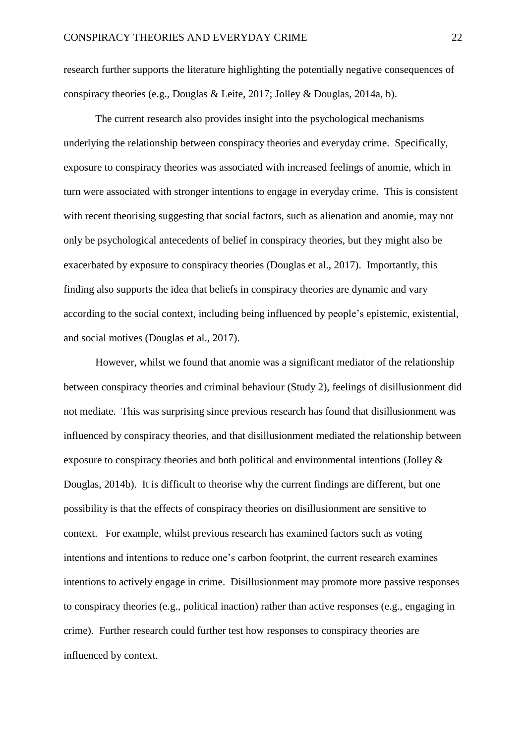research further supports the literature highlighting the potentially negative consequences of conspiracy theories (e.g., Douglas & Leite, 2017; Jolley & Douglas, 2014a, b).

The current research also provides insight into the psychological mechanisms underlying the relationship between conspiracy theories and everyday crime. Specifically, exposure to conspiracy theories was associated with increased feelings of anomie, which in turn were associated with stronger intentions to engage in everyday crime. This is consistent with recent theorising suggesting that social factors, such as alienation and anomie, may not only be psychological antecedents of belief in conspiracy theories, but they might also be exacerbated by exposure to conspiracy theories (Douglas et al., 2017). Importantly, this finding also supports the idea that beliefs in conspiracy theories are dynamic and vary according to the social context, including being influenced by people's epistemic, existential, and social motives (Douglas et al., 2017).

However, whilst we found that anomie was a significant mediator of the relationship between conspiracy theories and criminal behaviour (Study 2), feelings of disillusionment did not mediate. This was surprising since previous research has found that disillusionment was influenced by conspiracy theories, and that disillusionment mediated the relationship between exposure to conspiracy theories and both political and environmental intentions (Jolley & Douglas, 2014b). It is difficult to theorise why the current findings are different, but one possibility is that the effects of conspiracy theories on disillusionment are sensitive to context. For example, whilst previous research has examined factors such as voting intentions and intentions to reduce one's carbon footprint, the current research examines intentions to actively engage in crime. Disillusionment may promote more passive responses to conspiracy theories (e.g., political inaction) rather than active responses (e.g., engaging in crime). Further research could further test how responses to conspiracy theories are influenced by context.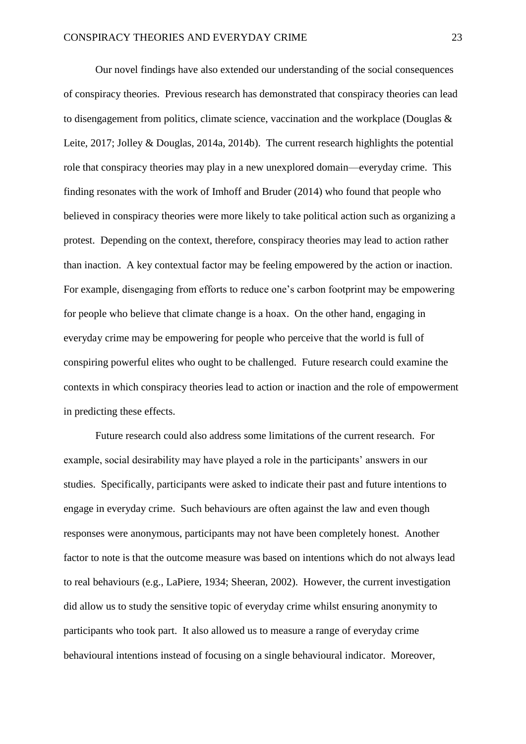Our novel findings have also extended our understanding of the social consequences of conspiracy theories. Previous research has demonstrated that conspiracy theories can lead to disengagement from politics, climate science, vaccination and the workplace (Douglas & Leite, 2017; Jolley & Douglas, 2014a, 2014b). The current research highlights the potential role that conspiracy theories may play in a new unexplored domain—everyday crime. This finding resonates with the work of Imhoff and Bruder (2014) who found that people who believed in conspiracy theories were more likely to take political action such as organizing a protest. Depending on the context, therefore, conspiracy theories may lead to action rather than inaction. A key contextual factor may be feeling empowered by the action or inaction. For example, disengaging from efforts to reduce one's carbon footprint may be empowering for people who believe that climate change is a hoax. On the other hand, engaging in everyday crime may be empowering for people who perceive that the world is full of conspiring powerful elites who ought to be challenged. Future research could examine the contexts in which conspiracy theories lead to action or inaction and the role of empowerment in predicting these effects.

Future research could also address some limitations of the current research. For example, social desirability may have played a role in the participants' answers in our studies. Specifically, participants were asked to indicate their past and future intentions to engage in everyday crime. Such behaviours are often against the law and even though responses were anonymous, participants may not have been completely honest. Another factor to note is that the outcome measure was based on intentions which do not always lead to real behaviours (e.g., LaPiere, 1934; Sheeran, 2002). However, the current investigation did allow us to study the sensitive topic of everyday crime whilst ensuring anonymity to participants who took part. It also allowed us to measure a range of everyday crime behavioural intentions instead of focusing on a single behavioural indicator. Moreover,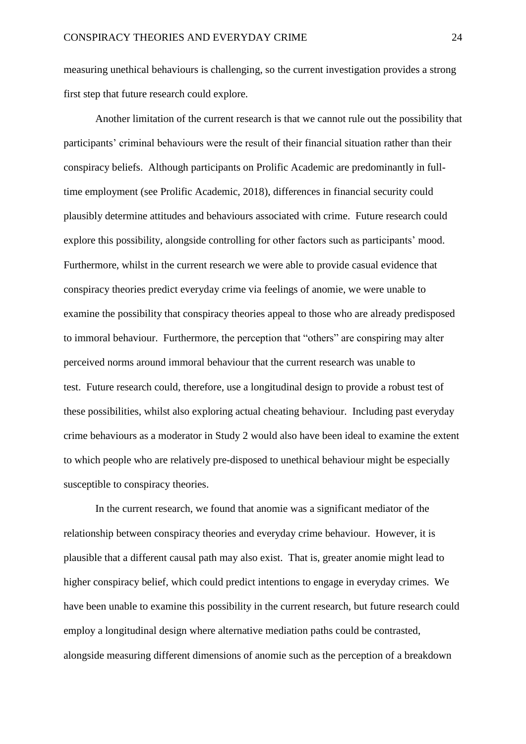measuring unethical behaviours is challenging, so the current investigation provides a strong first step that future research could explore.

Another limitation of the current research is that we cannot rule out the possibility that participants' criminal behaviours were the result of their financial situation rather than their conspiracy beliefs. Although participants on Prolific Academic are predominantly in fulltime employment (see Prolific Academic, 2018), differences in financial security could plausibly determine attitudes and behaviours associated with crime. Future research could explore this possibility, alongside controlling for other factors such as participants' mood. Furthermore, whilst in the current research we were able to provide casual evidence that conspiracy theories predict everyday crime via feelings of anomie, we were unable to examine the possibility that conspiracy theories appeal to those who are already predisposed to immoral behaviour. Furthermore, the perception that "others" are conspiring may alter perceived norms around immoral behaviour that the current research was unable to test. Future research could, therefore, use a longitudinal design to provide a robust test of these possibilities, whilst also exploring actual cheating behaviour. Including past everyday crime behaviours as a moderator in Study 2 would also have been ideal to examine the extent to which people who are relatively pre-disposed to unethical behaviour might be especially susceptible to conspiracy theories.

In the current research, we found that anomie was a significant mediator of the relationship between conspiracy theories and everyday crime behaviour. However, it is plausible that a different causal path may also exist. That is, greater anomie might lead to higher conspiracy belief, which could predict intentions to engage in everyday crimes. We have been unable to examine this possibility in the current research, but future research could employ a longitudinal design where alternative mediation paths could be contrasted, alongside measuring different dimensions of anomie such as the perception of a breakdown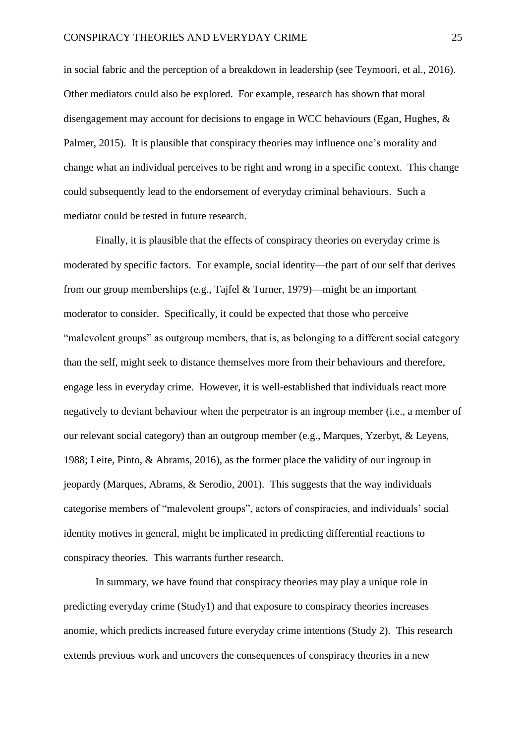in social fabric and the perception of a breakdown in leadership (see Teymoori, et al., 2016). Other mediators could also be explored. For example, research has shown that moral disengagement may account for decisions to engage in WCC behaviours (Egan, Hughes, & Palmer, 2015). It is plausible that conspiracy theories may influence one's morality and change what an individual perceives to be right and wrong in a specific context. This change could subsequently lead to the endorsement of everyday criminal behaviours. Such a mediator could be tested in future research.

Finally, it is plausible that the effects of conspiracy theories on everyday crime is moderated by specific factors. For example, social identity—the part of our self that derives from our group memberships (e.g., Tajfel & Turner, 1979)—might be an important moderator to consider. Specifically, it could be expected that those who perceive "malevolent groups" as outgroup members, that is, as belonging to a different social category than the self, might seek to distance themselves more from their behaviours and therefore, engage less in everyday crime. However, it is well-established that individuals react more negatively to deviant behaviour when the perpetrator is an ingroup member (i.e., a member of our relevant social category) than an outgroup member (e.g., Marques, Yzerbyt, & Leyens, 1988; Leite, Pinto, & Abrams, 2016), as the former place the validity of our ingroup in jeopardy (Marques, Abrams, & Serodio, 2001). This suggests that the way individuals categorise members of "malevolent groups", actors of conspiracies, and individuals' social identity motives in general, might be implicated in predicting differential reactions to conspiracy theories. This warrants further research.

In summary, we have found that conspiracy theories may play a unique role in predicting everyday crime (Study1) and that exposure to conspiracy theories increases anomie, which predicts increased future everyday crime intentions (Study 2). This research extends previous work and uncovers the consequences of conspiracy theories in a new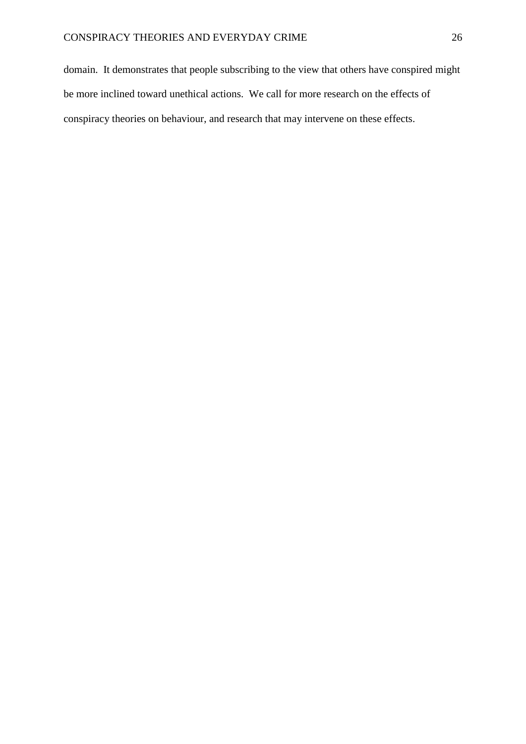domain. It demonstrates that people subscribing to the view that others have conspired might be more inclined toward unethical actions. We call for more research on the effects of conspiracy theories on behaviour, and research that may intervene on these effects.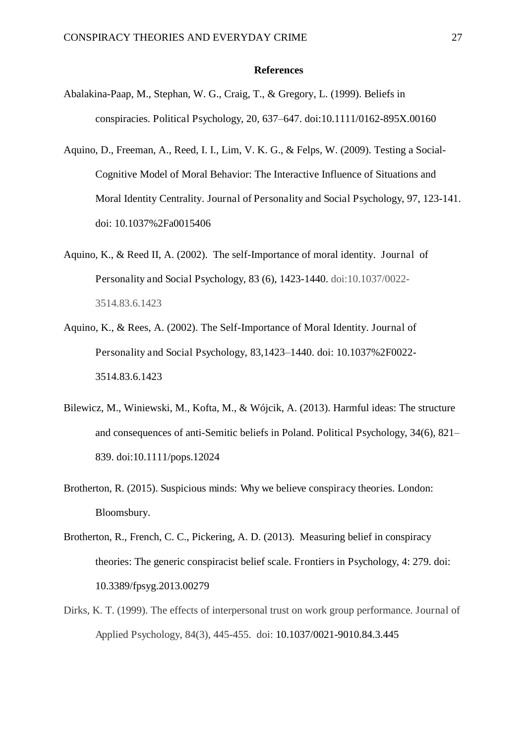#### **References**

- Abalakina-Paap, M., Stephan, W. G., Craig, T., & Gregory, L. (1999). Beliefs in conspiracies. Political Psychology, 20, 637–647. doi:10.1111/0162-895X.00160
- Aquino, D., Freeman, A., Reed, I. I., Lim, V. K. G., & Felps, W. (2009). Testing a Social-Cognitive Model of Moral Behavior: The Interactive Influence of Situations and Moral Identity Centrality. Journal of Personality and Social Psychology, 97, 123-141. doi: 10.1037%2Fa0015406
- Aquino, K., & Reed II, A. (2002). The self-Importance of moral identity. Journal of Personality and Social Psychology, 83 (6), 1423-1440. doi:10.1037/0022- 3514.83.6.1423
- Aquino, K., & Rees, A. (2002). The Self-Importance of Moral Identity. Journal of Personality and Social Psychology, 83,1423–1440. doi: 10.1037%2F0022- 3514.83.6.1423
- Bilewicz, M., Winiewski, M., Kofta, M., & Wójcik, A. (2013). Harmful ideas: The structure and consequences of anti-Semitic beliefs in Poland. Political Psychology, 34(6), 821– 839. doi:10.1111/pops.12024
- Brotherton, R. (2015). Suspicious minds: Why we believe conspiracy theories. London: Bloomsbury.
- Brotherton, R., French, C. C., Pickering, A. D. (2013). Measuring belief in conspiracy theories: The generic conspiracist belief scale. Frontiers in Psychology, 4: 279. doi: 10.3389/fpsyg.2013.00279
- Dirks, K. T. (1999). The effects of interpersonal trust on work group performance. Journal of Applied Psychology, 84(3), 445-455. doi: 10.1037/0021-9010.84.3.445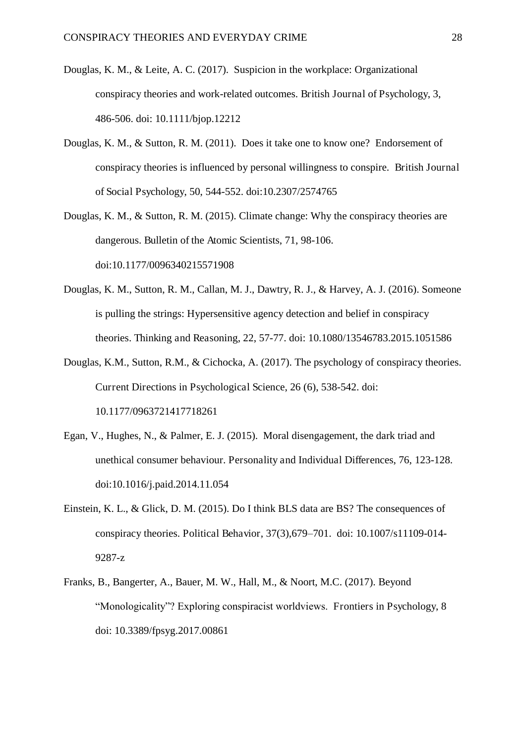- Douglas, K. M., & Leite, A. C. (2017). Suspicion in the workplace: Organizational conspiracy theories and work-related outcomes. British Journal of Psychology, 3, 486-506. doi: 10.1111/bjop.12212
- Douglas, K. M., & Sutton, R. M. (2011). Does it take one to know one? Endorsement of conspiracy theories is influenced by personal willingness to conspire. British Journal of Social Psychology, 50, 544-552. doi:10.2307/2574765
- Douglas, K. M., & Sutton, R. M. (2015). Climate change: Why the conspiracy theories are dangerous. Bulletin of the Atomic Scientists, 71, 98-106. doi:10.1177/0096340215571908
- Douglas, K. M., Sutton, R. M., Callan, M. J., Dawtry, R. J., & Harvey, A. J. (2016). Someone is pulling the strings: Hypersensitive agency detection and belief in conspiracy theories. Thinking and Reasoning, 22, 57-77. doi: 10.1080/13546783.2015.1051586
- Douglas, K.M., Sutton, R.M., & Cichocka, A. (2017). The psychology of conspiracy theories. Current Directions in Psychological Science, 26 (6), 538-542. doi: 10.1177/0963721417718261
- Egan, V., Hughes, N., & Palmer, E. J. (2015). Moral disengagement, the dark triad and unethical consumer behaviour. Personality and Individual Differences, 76, 123-128. doi:10.1016/j.paid.2014.11.054
- Einstein, K. L., & Glick, D. M. (2015). Do I think BLS data are BS? The consequences of conspiracy theories. Political Behavior, 37(3),679–701. doi: 10.1007/s11109-014- 9287-z
- Franks, B., Bangerter, A., Bauer, M. W., Hall, M., & Noort, M.C. (2017). Beyond "Monologicality"? Exploring conspiracist worldviews. Frontiers in Psychology, 8 doi: 10.3389/fpsyg.2017.00861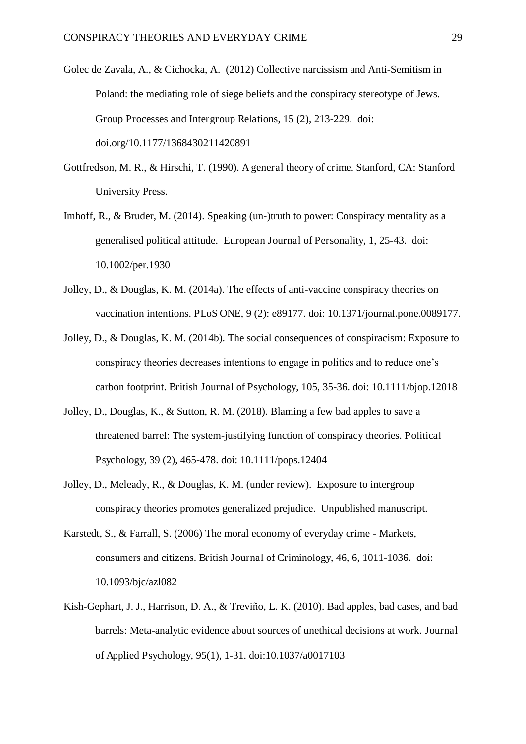- Golec de Zavala, A., & Cichocka, A. (2012) Collective narcissism and Anti-Semitism in Poland: the mediating role of siege beliefs and the conspiracy stereotype of Jews. Group Processes and Intergroup Relations, 15 (2), 213-229. doi: doi.org/10.1177/1368430211420891
- Gottfredson, M. R., & Hirschi, T. (1990). A general theory of crime. Stanford, CA: Stanford University Press.
- Imhoff, R., & Bruder, M. (2014). Speaking (un-)truth to power: Conspiracy mentality as a generalised political attitude. European Journal of Personality, 1, 25-43. doi: 10.1002/per.1930
- Jolley, D., & Douglas, K. M. (2014a). The effects of anti-vaccine conspiracy theories on vaccination intentions. PLoS ONE, 9 (2): e89177. doi: 10.1371/journal.pone.0089177.
- Jolley, D., & Douglas, K. M. (2014b). The social consequences of conspiracism: Exposure to conspiracy theories decreases intentions to engage in politics and to reduce one's carbon footprint. British Journal of Psychology, 105, 35-36. doi: 10.1111/bjop.12018
- Jolley, D., Douglas, K., & Sutton, R. M. (2018). Blaming a few bad apples to save a threatened barrel: The system-justifying function of conspiracy theories. Political Psychology, 39 (2), 465-478. doi: 10.1111/pops.12404
- Jolley, D., Meleady, R., & Douglas, K. M. (under review). Exposure to intergroup conspiracy theories promotes generalized prejudice. Unpublished manuscript.
- Karstedt, S., & Farrall, S. (2006) The moral economy of everyday crime Markets, consumers and citizens. British Journal of Criminology, 46, 6, 1011-1036. doi: 10.1093/bjc/azl082
- Kish-Gephart, J. J., Harrison, D. A., & Treviño, L. K. (2010). Bad apples, bad cases, and bad barrels: Meta-analytic evidence about sources of unethical decisions at work. Journal of Applied Psychology, 95(1), 1-31. doi:10.1037/a0017103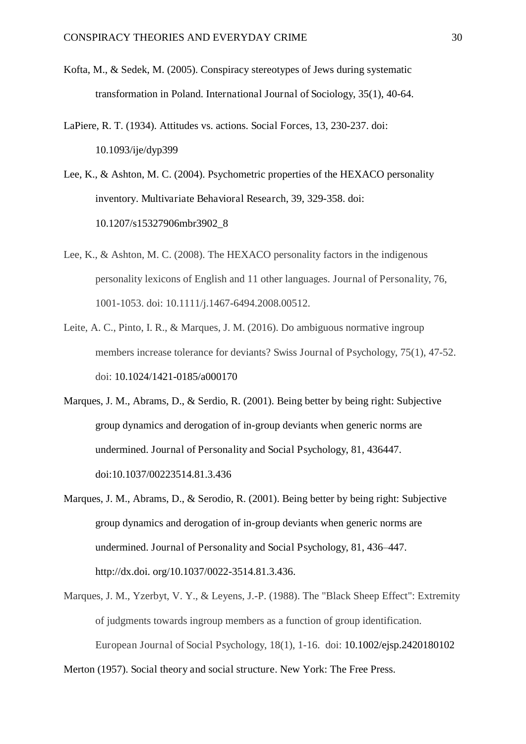- Kofta, M., & Sedek, M. (2005). Conspiracy stereotypes of Jews during systematic transformation in Poland. International Journal of Sociology, 35(1), 40-64.
- LaPiere, R. T. (1934). Attitudes vs. actions. Social Forces, 13, 230-237. doi: 10.1093/ije/dyp399
- Lee, K., & Ashton, M. C. (2004). Psychometric properties of the HEXACO personality inventory. Multivariate Behavioral Research, 39, 329-358. doi: 10.1207/s15327906mbr3902\_8
- Lee, K., & Ashton, M. C. (2008). The HEXACO personality factors in the indigenous personality lexicons of English and 11 other languages. Journal of Personality, 76, 1001-1053. doi: 10.1111/j.1467-6494.2008.00512.
- Leite, A. C., Pinto, I. R., & Marques, J. M. (2016). Do ambiguous normative ingroup members increase tolerance for deviants? Swiss Journal of Psychology, 75(1), 47-52. doi: 10.1024/1421-0185/a000170
- Marques, J. M., Abrams, D., & Serdio, R. (2001). Being better by being right: Subjective group dynamics and derogation of in-group deviants when generic norms are undermined. Journal of Personality and Social Psychology, 81, 436447. doi:10.1037/00223514.81.3.436
- Marques, J. M., Abrams, D., & Serodio, R. (2001). Being better by being right: Subjective group dynamics and derogation of in-group deviants when generic norms are undermined. Journal of Personality and Social Psychology, 81, 436–447. http://dx.doi. org/10.1037/0022-3514.81.3.436.
- Marques, J. M., Yzerbyt, V. Y., & Leyens, J.-P. (1988). The "Black Sheep Effect": Extremity of judgments towards ingroup members as a function of group identification. European Journal of Social Psychology, 18(1), 1-16. doi: 10.1002/ejsp.2420180102

Merton (1957). Social theory and social structure. New York: The Free Press.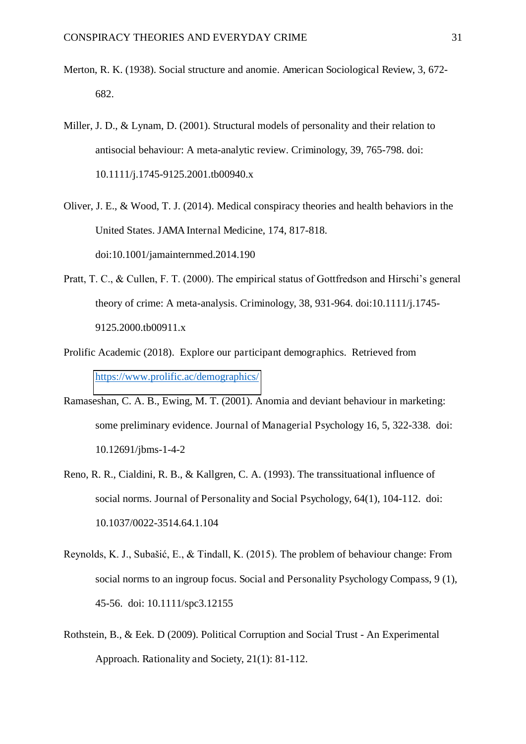- Merton, R. K. (1938). Social structure and anomie. American Sociological Review, 3, 672- 682.
- Miller, J. D., & Lynam, D. (2001). Structural models of personality and their relation to antisocial behaviour: A meta-analytic review. Criminology, 39, 765-798. doi: 10.1111/j.1745-9125.2001.tb00940.x
- Oliver, J. E., & Wood, T. J. (2014). Medical conspiracy theories and health behaviors in the United States. JAMA Internal Medicine, 174, 817-818. doi:10.1001/jamainternmed.2014.190
- Pratt, T. C., & Cullen, F. T. (2000). The empirical status of Gottfredson and Hirschi's general theory of crime: A meta-analysis. Criminology, 38, 931-964. doi:10.1111/j.1745- 9125.2000.tb00911.x
- Prolific Academic (2018). Explore our participant demographics. Retrieved from <https://www.prolific.ac/demographics/>
- Ramaseshan, C. A. B., Ewing, M. T. (2001). Anomia and deviant behaviour in marketing: some preliminary evidence. Journal of Managerial Psychology 16, 5, 322-338. doi: 10.12691/jbms-1-4-2
- Reno, R. R., Cialdini, R. B., & Kallgren, C. A. (1993). The transsituational influence of social norms. Journal of Personality and Social Psychology, 64(1), 104-112. doi: 10.1037/0022-3514.64.1.104
- Reynolds, K. J., Subašić, E., & Tindall, K. (2015). The problem of behaviour change: From social norms to an ingroup focus. Social and Personality Psychology Compass, 9 (1), 45-56. doi: 10.1111/spc3.12155
- Rothstein, B., & Eek. D (2009). Political Corruption and Social Trust An Experimental Approach. Rationality and Society, 21(1): 81-112.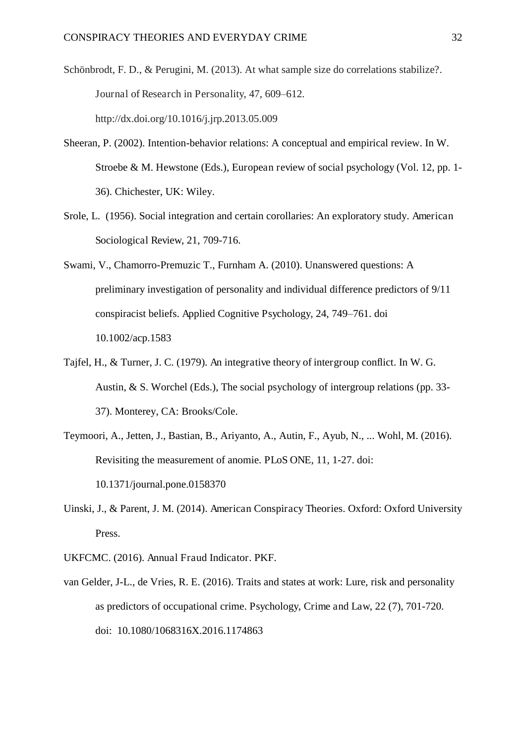- Schönbrodt, F. D., & Perugini, M. (2013). At what sample size do correlations stabilize?. Journal of Research in Personality, 47, 609–612. http://dx.doi.org/10.1016/j.jrp.2013.05.009
- Sheeran, P. (2002). Intention-behavior relations: A conceptual and empirical review. In W. Stroebe & M. Hewstone (Eds.), European review of social psychology (Vol. 12, pp. 1- 36). Chichester, UK: Wiley.
- Srole, L. (1956). Social integration and certain corollaries: An exploratory study. American Sociological Review, 21, 709-716.
- Swami, V., Chamorro-Premuzic T., Furnham A. (2010). Unanswered questions: A preliminary investigation of personality and individual difference predictors of 9/11 conspiracist beliefs. Applied Cognitive Psychology, 24, 749–761. doi 10.1002/acp.1583
- Tajfel, H., & Turner, J. C. (1979). An integrative theory of intergroup conflict. In W. G. Austin, & S. Worchel (Eds.), The social psychology of intergroup relations (pp. 33- 37). Monterey, CA: Brooks/Cole.
- Teymoori, A., Jetten, J., Bastian, B., Ariyanto, A., Autin, F., Ayub, N., ... Wohl, M. (2016). Revisiting the measurement of anomie. PLoS ONE, 11, 1-27. doi: 10.1371/journal.pone.0158370
- Uinski, J., & Parent, J. M. (2014). American Conspiracy Theories. Oxford: Oxford University Press.
- UKFCMC. (2016). Annual Fraud Indicator. PKF.
- van Gelder, J-L., de Vries, R. E. (2016). Traits and states at work: Lure, risk and personality as predictors of occupational crime. Psychology, Crime and Law, 22 (7), 701-720. doi: 10.1080/1068316X.2016.1174863